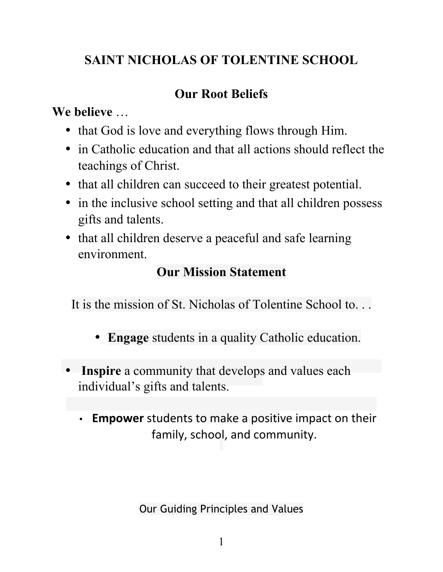# **SAINT NICHOLAS OF TOLENTINE SCHOOL**

# **Our Root Beliefs**

**We believe** …

- that God is love and everything flows through Him.
- in Catholic education and that all actions should reflect the teachings of Christ.
- that all children can succeed to their greatest potential.
- in the inclusive school setting and that all children possess gifts and talents.
- that all children deserve a peaceful and safe learning environment.

# **Our Mission Statement**

It is the mission of St. Nicholas of Tolentine School to. . .

- **Engage** students in a quality Catholic education.
- **Inspire** a community that develops and values each individual's gifts and talents.
	- **Empower** students to make a positive impact on their family, school, and community.

Our Guiding Principles and Values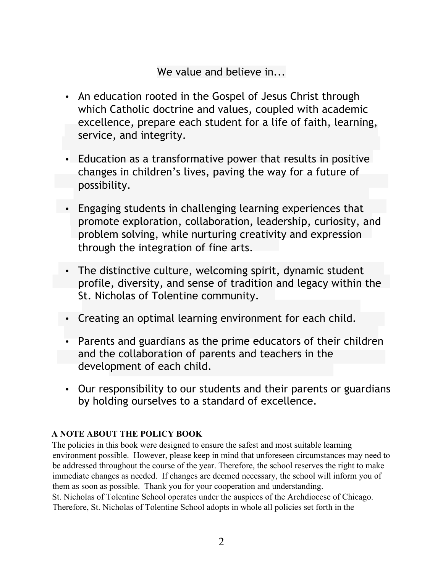We value and believe in...

- An education rooted in the Gospel of Jesus Christ through which Catholic doctrine and values, coupled with academic excellence, prepare each student for a life of faith, learning, service, and integrity.
- Education as a transformative power that results in positive changes in children's lives, paving the way for a future of possibility.
- Engaging students in challenging learning experiences that promote exploration, collaboration, leadership, curiosity, and problem solving, while nurturing creativity and expression through the integration of fine arts.
- The distinctive culture, welcoming spirit, dynamic student profile, diversity, and sense of tradition and legacy within the St. Nicholas of Tolentine community.
- Creating an optimal learning environment for each child.
- Parents and guardians as the prime educators of their children and the collaboration of parents and teachers in the development of each child.
- Our responsibility to our students and their parents or guardians by holding ourselves to a standard of excellence.

# **A NOTE ABOUT THE POLICY BOOK**

The policies in this book were designed to ensure the safest and most suitable learning environment possible. However, please keep in mind that unforeseen circumstances may need to be addressed throughout the course of the year. Therefore, the school reserves the right to make immediate changes as needed. If changes are deemed necessary, the school will inform you of them as soon as possible. Thank you for your cooperation and understanding. St. Nicholas of Tolentine School operates under the auspices of the Archdiocese of Chicago. Therefore, St. Nicholas of Tolentine School adopts in whole all policies set forth in the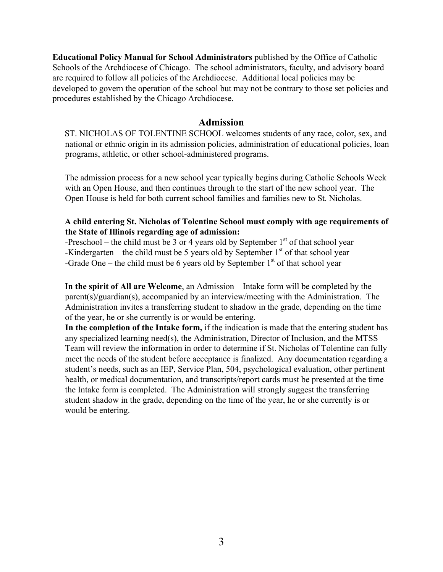**Educational Policy Manual for School Administrators** published by the Office of Catholic Schools of the Archdiocese of Chicago. The school administrators, faculty, and advisory board are required to follow all policies of the Archdiocese. Additional local policies may be developed to govern the operation of the school but may not be contrary to those set policies and procedures established by the Chicago Archdiocese.

#### **Admission**

ST. NICHOLAS OF TOLENTINE SCHOOL welcomes students of any race, color, sex, and national or ethnic origin in its admission policies, administration of educational policies, loan programs, athletic, or other school-administered programs.

The admission process for a new school year typically begins during Catholic Schools Week with an Open House, and then continues through to the start of the new school year. The Open House is held for both current school families and families new to St. Nicholas.

### **A child entering St. Nicholas of Tolentine School must comply with age requirements of the State of Illinois regarding age of admission:**

-Preschool – the child must be 3 or 4 years old by September  $1<sup>st</sup>$  of that school year -Kindergarten – the child must be 5 years old by September  $1<sup>st</sup>$  of that school year -Grade One – the child must be 6 years old by September  $1<sup>st</sup>$  of that school year

**In the spirit of All are Welcome**, an Admission – Intake form will be completed by the parent(s)/guardian(s), accompanied by an interview/meeting with the Administration. The Administration invites a transferring student to shadow in the grade, depending on the time of the year, he or she currently is or would be entering.

**In the completion of the Intake form,** if the indication is made that the entering student has any specialized learning need(s), the Administration, Director of Inclusion, and the MTSS Team will review the information in order to determine if St. Nicholas of Tolentine can fully meet the needs of the student before acceptance is finalized. Any documentation regarding a student's needs, such as an IEP, Service Plan, 504, psychological evaluation, other pertinent health, or medical documentation, and transcripts/report cards must be presented at the time the Intake form is completed. The Administration will strongly suggest the transferring student shadow in the grade, depending on the time of the year, he or she currently is or would be entering.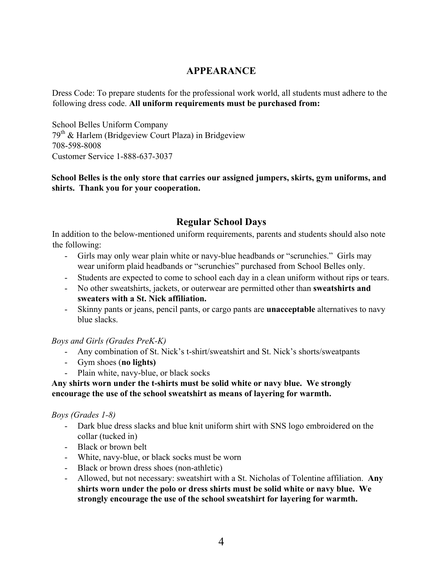### **APPEARANCE**

Dress Code: To prepare students for the professional work world, all students must adhere to the following dress code. **All uniform requirements must be purchased from:** 

School Belles Uniform Company  $79<sup>th</sup>$  & Harlem (Bridgeview Court Plaza) in Bridgeview 708-598-8008 Customer Service 1-888-637-3037

**School Belles is the only store that carries our assigned jumpers, skirts, gym uniforms, and shirts. Thank you for your cooperation.** 

# **Regular School Days**

In addition to the below-mentioned uniform requirements, parents and students should also note the following:

- Girls may only wear plain white or navy-blue headbands or "scrunchies." Girls may wear uniform plaid headbands or "scrunchies" purchased from School Belles only.
- Students are expected to come to school each day in a clean uniform without rips or tears.
- No other sweatshirts, jackets, or outerwear are permitted other than **sweatshirts and sweaters with a St. Nick affiliation.**
- Skinny pants or jeans, pencil pants, or cargo pants are **unacceptable** alternatives to navy blue slacks.

### *Boys and Girls (Grades PreK-K)*

- Any combination of St. Nick's t-shirt/sweatshirt and St. Nick's shorts/sweatpants
- Gym shoes (**no lights)**
- Plain white, navy-blue, or black socks

### **Any shirts worn under the t-shirts must be solid white or navy blue. We strongly encourage the use of the school sweatshirt as means of layering for warmth.**

### *Boys (Grades 1-8)*

- Dark blue dress slacks and blue knit uniform shirt with SNS logo embroidered on the collar (tucked in)
- Black or brown belt
- White, navy-blue, or black socks must be worn
- Black or brown dress shoes (non-athletic)
- Allowed, but not necessary: sweatshirt with a St. Nicholas of Tolentine affiliation. **Any shirts worn under the polo or dress shirts must be solid white or navy blue. We strongly encourage the use of the school sweatshirt for layering for warmth.**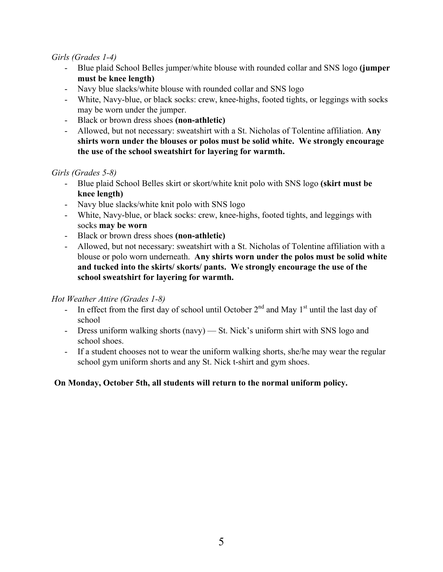### *Girls (Grades 1-4)*

- Blue plaid School Belles jumper/white blouse with rounded collar and SNS logo **(jumper must be knee length)**
- Navy blue slacks/white blouse with rounded collar and SNS logo
- White, Navy-blue, or black socks: crew, knee-highs, footed tights, or leggings with socks may be worn under the jumper.
- Black or brown dress shoes **(non-athletic)**
- Allowed, but not necessary: sweatshirt with a St. Nicholas of Tolentine affiliation. **Any shirts worn under the blouses or polos must be solid white. We strongly encourage the use of the school sweatshirt for layering for warmth.**

### *Girls (Grades 5-8)*

- Blue plaid School Belles skirt or skort/white knit polo with SNS logo **(skirt must be knee length)**
- Navy blue slacks/white knit polo with SNS logo
- White, Navy-blue, or black socks: crew, knee-highs, footed tights, and leggings with socks **may be worn**
- Black or brown dress shoes **(non-athletic)**
- Allowed, but not necessary: sweatshirt with a St. Nicholas of Tolentine affiliation with a blouse or polo worn underneath. **Any shirts worn under the polos must be solid white and tucked into the skirts/ skorts/ pants. We strongly encourage the use of the school sweatshirt for layering for warmth.**

### *Hot Weather Attire (Grades 1-8)*

- In effect from the first day of school until October  $2<sup>nd</sup>$  and May 1<sup>st</sup> until the last day of school
- Dress uniform walking shorts (navy) St. Nick's uniform shirt with SNS logo and school shoes.
- If a student chooses not to wear the uniform walking shorts, she/he may wear the regular school gym uniform shorts and any St. Nick t-shirt and gym shoes.

### **On Monday, October 5th, all students will return to the normal uniform policy.**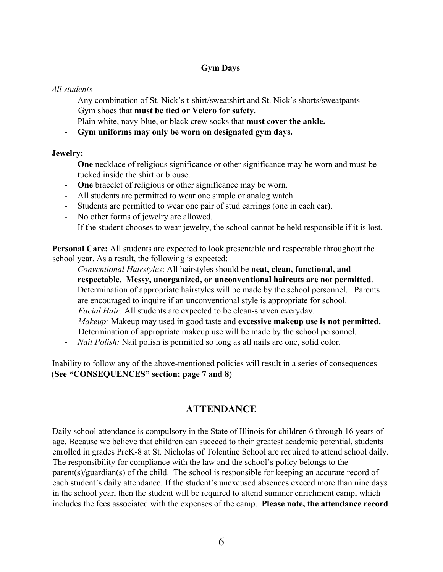### **Gym Days**

#### *All students*

- Any combination of St. Nick's t-shirt/sweatshirt and St. Nick's shorts/sweatpants Gym shoes that **must be tied or Velcro for safety.**
- Plain white, navy-blue, or black crew socks that **must cover the ankle.**
- **Gym uniforms may only be worn on designated gym days.**

### **Jewelry:**

- **One** necklace of religious significance or other significance may be worn and must be tucked inside the shirt or blouse.
- **One** bracelet of religious or other significance may be worn.
- All students are permitted to wear one simple or analog watch.
- Students are permitted to wear one pair of stud earrings (one in each ear).
- No other forms of jewelry are allowed.
- If the student chooses to wear jewelry, the school cannot be held responsible if it is lost.

**Personal Care:** All students are expected to look presentable and respectable throughout the school year. As a result, the following is expected:

- *Conventional Hairstyles*: All hairstyles should be **neat, clean, functional, and respectable**. **Messy, unorganized, or unconventional haircuts are not permitted**. Determination of appropriate hairstyles will be made by the school personnel. Parents are encouraged to inquire if an unconventional style is appropriate for school. *Facial Hair:* All students are expected to be clean-shaven everyday. *Makeup:* Makeup may used in good taste and **excessive makeup use is not permitted.**  Determination of appropriate makeup use will be made by the school personnel.
- *Nail Polish:* Nail polish is permitted so long as all nails are one, solid color.

Inability to follow any of the above-mentioned policies will result in a series of consequences (**See "CONSEQUENCES" section; page 7 and 8**)

# **ATTENDANCE**

Daily school attendance is compulsory in the State of Illinois for children 6 through 16 years of age. Because we believe that children can succeed to their greatest academic potential, students enrolled in grades PreK-8 at St. Nicholas of Tolentine School are required to attend school daily. The responsibility for compliance with the law and the school's policy belongs to the parent(s)/guardian(s) of the child. The school is responsible for keeping an accurate record of each student's daily attendance. If the student's unexcused absences exceed more than nine days in the school year, then the student will be required to attend summer enrichment camp, which includes the fees associated with the expenses of the camp. **Please note, the attendance record**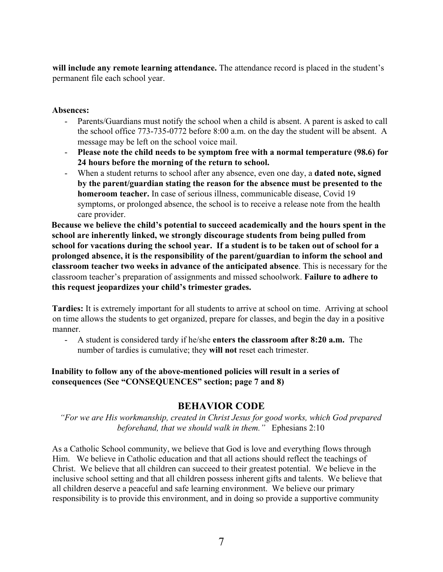**will include any remote learning attendance.** The attendance record is placed in the student's permanent file each school year.

#### **Absences:**

- Parents/Guardians must notify the school when a child is absent. A parent is asked to call the school office 773-735-0772 before 8:00 a.m. on the day the student will be absent. A message may be left on the school voice mail.
- **Please note the child needs to be symptom free with a normal temperature (98.6) for 24 hours before the morning of the return to school.**
- When a student returns to school after any absence, even one day, a **dated note, signed by the parent/guardian stating the reason for the absence must be presented to the homeroom teacher.** In case of serious illness, communicable disease, Covid 19 symptoms, or prolonged absence, the school is to receive a release note from the health care provider.

**Because we believe the child's potential to succeed academically and the hours spent in the school are inherently linked, we strongly discourage students from being pulled from school for vacations during the school year. If a student is to be taken out of school for a prolonged absence, it is the responsibility of the parent/guardian to inform the school and classroom teacher two weeks in advance of the anticipated absence**. This is necessary for the classroom teacher's preparation of assignments and missed schoolwork. **Failure to adhere to this request jeopardizes your child's trimester grades.**

**Tardies:** It is extremely important for all students to arrive at school on time. Arriving at school on time allows the students to get organized, prepare for classes, and begin the day in a positive manner.

- A student is considered tardy if he/she **enters the classroom after 8:20 a.m.** The number of tardies is cumulative; they **will not** reset each trimester.

### **Inability to follow any of the above-mentioned policies will result in a series of consequences (See "CONSEQUENCES" section; page 7 and 8)**

# **BEHAVIOR CODE**

*"For we are His workmanship, created in Christ Jesus for good works, which God prepared beforehand, that we should walk in them."* Ephesians 2:10

As a Catholic School community, we believe that God is love and everything flows through Him. We believe in Catholic education and that all actions should reflect the teachings of Christ. We believe that all children can succeed to their greatest potential. We believe in the inclusive school setting and that all children possess inherent gifts and talents. We believe that all children deserve a peaceful and safe learning environment. We believe our primary responsibility is to provide this environment, and in doing so provide a supportive community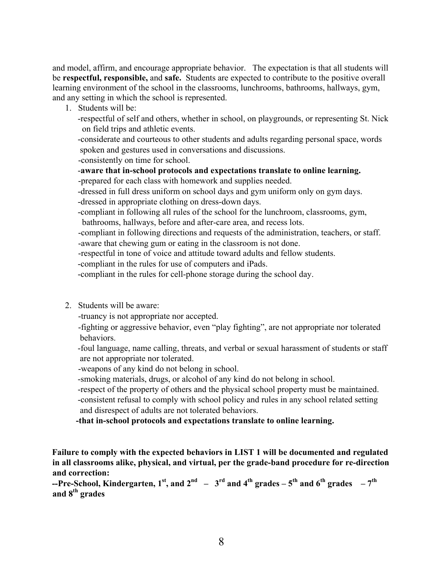and model, affirm, and encourage appropriate behavior. The expectation is that all students will be **respectful, responsible,** and **safe.** Students are expected to contribute to the positive overall learning environment of the school in the classrooms, lunchrooms, bathrooms, hallways, gym, and any setting in which the school is represented.

- 1. Students will be:
	- -respectful of self and others, whether in school, on playgrounds, or representing St. Nick on field trips and athletic events.

-considerate and courteous to other students and adults regarding personal space, words spoken and gestures used in conversations and discussions.

-consistently on time for school.

-**aware that in-school protocols and expectations translate to online learning.**

-prepared for each class with homework and supplies needed.

-dressed in full dress uniform on school days and gym uniform only on gym days. -dressed in appropriate clothing on dress-down days.

-compliant in following all rules of the school for the lunchroom, classrooms, gym, bathrooms, hallways, before and after-care area, and recess lots.

-compliant in following directions and requests of the administration, teachers, or staff. -aware that chewing gum or eating in the classroom is not done.

-respectful in tone of voice and attitude toward adults and fellow students.

-compliant in the rules for use of computers and iPads.

-compliant in the rules for cell-phone storage during the school day.

2. Students will be aware:

-truancy is not appropriate nor accepted.

-fighting or aggressive behavior, even "play fighting", are not appropriate nor tolerated behaviors.

-foul language, name calling, threats, and verbal or sexual harassment of students or staff are not appropriate nor tolerated.

-weapons of any kind do not belong in school.

-smoking materials, drugs, or alcohol of any kind do not belong in school.

-respect of the property of others and the physical school property must be maintained. -consistent refusal to comply with school policy and rules in any school related setting and disrespect of adults are not tolerated behaviors.

 **-that in-school protocols and expectations translate to online learning.**

**Failure to comply with the expected behaviors in LIST 1 will be documented and regulated in all classrooms alike, physical, and virtual, per the grade-band procedure for re-direction and correction:** 

**--Pre-School, Kindergarten, 1<sup>st</sup>, and 2<sup>nd</sup> – 3<sup>rd</sup> and 4<sup>th</sup> <b>grades –** 5<sup>th</sup> and 6<sup>th</sup> **grades** – 7<sup>th</sup> **and 8th grades**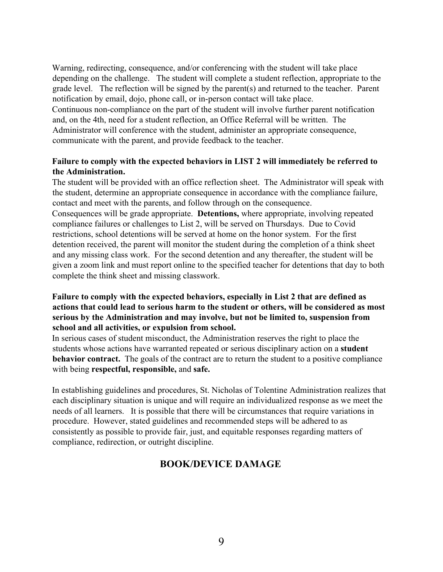Warning, redirecting, consequence, and/or conferencing with the student will take place depending on the challenge. The student will complete a student reflection, appropriate to the grade level. The reflection will be signed by the parent(s) and returned to the teacher. Parent notification by email, dojo, phone call, or in-person contact will take place. Continuous non-compliance on the part of the student will involve further parent notification and, on the 4th, need for a student reflection, an Office Referral will be written. The Administrator will conference with the student, administer an appropriate consequence, communicate with the parent, and provide feedback to the teacher.

### **Failure to comply with the expected behaviors in LIST 2 will immediately be referred to the Administration.**

The student will be provided with an office reflection sheet. The Administrator will speak with the student, determine an appropriate consequence in accordance with the compliance failure, contact and meet with the parents, and follow through on the consequence. Consequences will be grade appropriate. **Detentions,** where appropriate, involving repeated compliance failures or challenges to List 2, will be served on Thursdays. Due to Covid restrictions, school detentions will be served at home on the honor system. For the first detention received, the parent will monitor the student during the completion of a think sheet and any missing class work. For the second detention and any thereafter, the student will be given a zoom link and must report online to the specified teacher for detentions that day to both complete the think sheet and missing classwork.

### **Failure to comply with the expected behaviors, especially in List 2 that are defined as actions that could lead to serious harm to the student or others, will be considered as most serious by the Administration and may involve, but not be limited to, suspension from school and all activities, or expulsion from school.**

In serious cases of student misconduct, the Administration reserves the right to place the students whose actions have warranted repeated or serious disciplinary action on a **student behavior contract.** The goals of the contract are to return the student to a positive compliance with being **respectful, responsible,** and **safe.**

In establishing guidelines and procedures, St. Nicholas of Tolentine Administration realizes that each disciplinary situation is unique and will require an individualized response as we meet the needs of all learners. It is possible that there will be circumstances that require variations in procedure. However, stated guidelines and recommended steps will be adhered to as consistently as possible to provide fair, just, and equitable responses regarding matters of compliance, redirection, or outright discipline.

# **BOOK/DEVICE DAMAGE**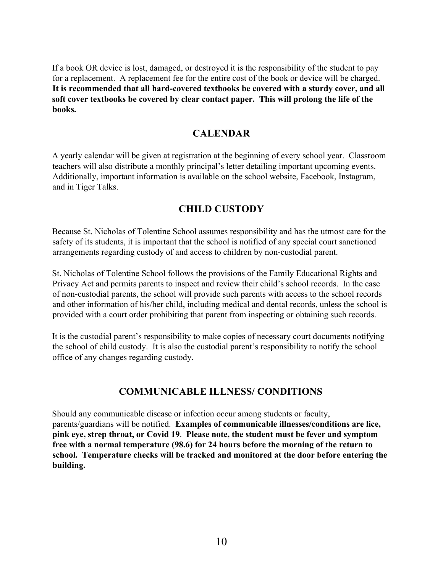If a book OR device is lost, damaged, or destroyed it is the responsibility of the student to pay for a replacement. A replacement fee for the entire cost of the book or device will be charged. **It is recommended that all hard-covered textbooks be covered with a sturdy cover, and all soft cover textbooks be covered by clear contact paper. This will prolong the life of the books.**

### **CALENDAR**

A yearly calendar will be given at registration at the beginning of every school year. Classroom teachers will also distribute a monthly principal's letter detailing important upcoming events. Additionally, important information is available on the school website, Facebook, Instagram, and in Tiger Talks.

### **CHILD CUSTODY**

Because St. Nicholas of Tolentine School assumes responsibility and has the utmost care for the safety of its students, it is important that the school is notified of any special court sanctioned arrangements regarding custody of and access to children by non-custodial parent.

St. Nicholas of Tolentine School follows the provisions of the Family Educational Rights and Privacy Act and permits parents to inspect and review their child's school records. In the case of non-custodial parents, the school will provide such parents with access to the school records and other information of his/her child, including medical and dental records, unless the school is provided with a court order prohibiting that parent from inspecting or obtaining such records.

It is the custodial parent's responsibility to make copies of necessary court documents notifying the school of child custody. It is also the custodial parent's responsibility to notify the school office of any changes regarding custody.

# **COMMUNICABLE ILLNESS/ CONDITIONS**

Should any communicable disease or infection occur among students or faculty, parents/guardians will be notified. **Examples of communicable illnesses/conditions are lice, pink eye, strep throat, or Covid 19**. **Please note, the student must be fever and symptom free with a normal temperature (98.6) for 24 hours before the morning of the return to school. Temperature checks will be tracked and monitored at the door before entering the building.**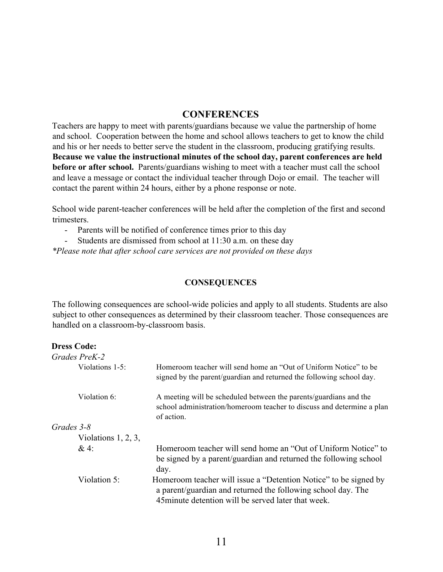### **CONFERENCES**

Teachers are happy to meet with parents/guardians because we value the partnership of home and school. Cooperation between the home and school allows teachers to get to know the child and his or her needs to better serve the student in the classroom, producing gratifying results. **Because we value the instructional minutes of the school day, parent conferences are held before or after school.** Parents/guardians wishing to meet with a teacher must call the school and leave a message or contact the individual teacher through Dojo or email. The teacher will contact the parent within 24 hours, either by a phone response or note.

School wide parent-teacher conferences will be held after the completion of the first and second trimesters.

- Parents will be notified of conference times prior to this day
- Students are dismissed from school at 11:30 a.m. on these day

*\*Please note that after school care services are not provided on these days*

#### **CONSEQUENCES**

The following consequences are school-wide policies and apply to all students. Students are also subject to other consequences as determined by their classroom teacher. Those consequences are handled on a classroom-by-classroom basis.

| <b>Dress Code:</b>     |                                                                                                                                                                                         |
|------------------------|-----------------------------------------------------------------------------------------------------------------------------------------------------------------------------------------|
| Grades PreK-2          |                                                                                                                                                                                         |
| Violations 1-5:        | Homeroom teacher will send home an "Out of Uniform Notice" to be<br>signed by the parent/guardian and returned the following school day.                                                |
| Violation 6:           | A meeting will be scheduled between the parents/guardians and the<br>school administration/homeroom teacher to discuss and determine a plan<br>of action.                               |
| Grades 3-8             |                                                                                                                                                                                         |
| Violations $1, 2, 3$ , |                                                                                                                                                                                         |
| $&4$ :                 | Homeroom teacher will send home an "Out of Uniform Notice" to<br>be signed by a parent/guardian and returned the following school<br>day.                                               |
| Violation 5:           | Homeroom teacher will issue a "Detention Notice" to be signed by<br>a parent/guardian and returned the following school day. The<br>45 minute detention will be served later that week. |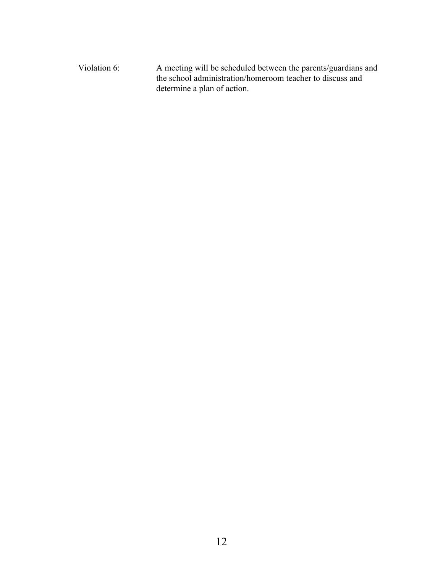Violation 6: A meeting will be scheduled between the parents/guardians and the school administration/homeroom teacher to discuss and determine a plan of action.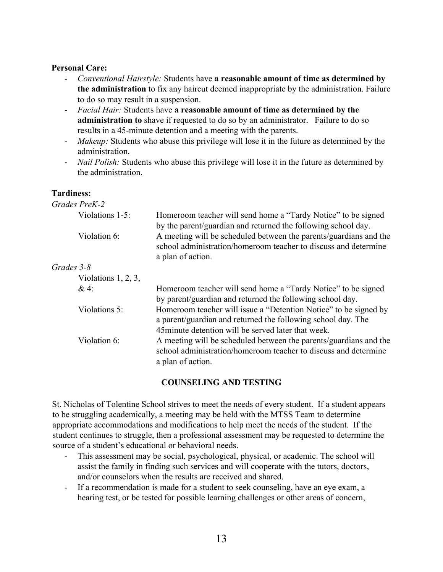### **Personal Care:**

- *Conventional Hairstyle:* Students have **a reasonable amount of time as determined by the administration** to fix any haircut deemed inappropriate by the administration. Failure to do so may result in a suspension.
- *Facial Hair:* Students have **a reasonable amount of time as determined by the administration to** shave if requested to do so by an administrator. Failure to do so results in a 45-minute detention and a meeting with the parents.
- *Makeup*: Students who abuse this privilege will lose it in the future as determined by the administration.
- *Nail Polish:* Students who abuse this privilege will lose it in the future as determined by the administration.

### **Tardiness:**

| Homeroom teacher will send home a "Tardy Notice" to be signed<br>by the parent/guardian and returned the following school day.                                                          |  |  |
|-----------------------------------------------------------------------------------------------------------------------------------------------------------------------------------------|--|--|
| A meeting will be scheduled between the parents/guardians and the<br>school administration/homeroom teacher to discuss and determine<br>a plan of action.                               |  |  |
|                                                                                                                                                                                         |  |  |
|                                                                                                                                                                                         |  |  |
| Homeroom teacher will send home a "Tardy Notice" to be signed<br>by parent/guardian and returned the following school day.                                                              |  |  |
| Homeroom teacher will issue a "Detention Notice" to be signed by<br>a parent/guardian and returned the following school day. The<br>45 minute detention will be served later that week. |  |  |
| A meeting will be scheduled between the parents/guardians and the<br>school administration/homeroom teacher to discuss and determine<br>a plan of action.                               |  |  |
|                                                                                                                                                                                         |  |  |

### **COUNSELING AND TESTING**

St. Nicholas of Tolentine School strives to meet the needs of every student. If a student appears to be struggling academically, a meeting may be held with the MTSS Team to determine appropriate accommodations and modifications to help meet the needs of the student. If the student continues to struggle, then a professional assessment may be requested to determine the source of a student's educational or behavioral needs.

- This assessment may be social, psychological, physical, or academic. The school will assist the family in finding such services and will cooperate with the tutors, doctors, and/or counselors when the results are received and shared.
- If a recommendation is made for a student to seek counseling, have an eye exam, a hearing test, or be tested for possible learning challenges or other areas of concern,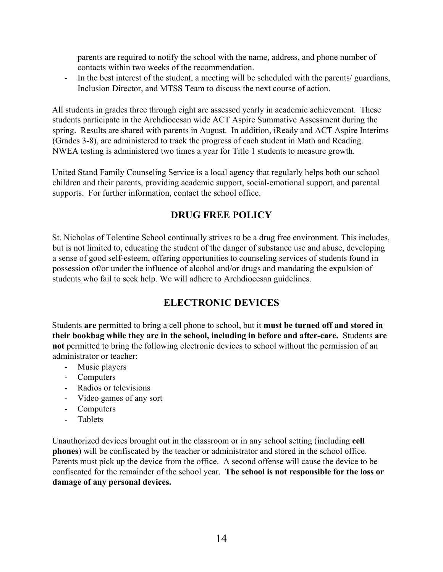parents are required to notify the school with the name, address, and phone number of contacts within two weeks of the recommendation.

- In the best interest of the student, a meeting will be scheduled with the parents/ guardians, Inclusion Director, and MTSS Team to discuss the next course of action.

All students in grades three through eight are assessed yearly in academic achievement. These students participate in the Archdiocesan wide ACT Aspire Summative Assessment during the spring. Results are shared with parents in August. In addition, iReady and ACT Aspire Interims (Grades 3-8), are administered to track the progress of each student in Math and Reading. NWEA testing is administered two times a year for Title 1 students to measure growth.

United Stand Family Counseling Service is a local agency that regularly helps both our school children and their parents, providing academic support, social-emotional support, and parental supports. For further information, contact the school office.

# **DRUG FREE POLICY**

St. Nicholas of Tolentine School continually strives to be a drug free environment. This includes, but is not limited to, educating the student of the danger of substance use and abuse, developing a sense of good self-esteem, offering opportunities to counseling services of students found in possession of/or under the influence of alcohol and/or drugs and mandating the expulsion of students who fail to seek help. We will adhere to Archdiocesan guidelines.

# **ELECTRONIC DEVICES**

Students **are** permitted to bring a cell phone to school, but it **must be turned off and stored in their bookbag while they are in the school, including in before and after-care.** Students **are not** permitted to bring the following electronic devices to school without the permission of an administrator or teacher:

- Music players
- Computers
- Radios or televisions
- Video games of any sort
- Computers
- Tablets

Unauthorized devices brought out in the classroom or in any school setting (including **cell phones**) will be confiscated by the teacher or administrator and stored in the school office. Parents must pick up the device from the office. A second offense will cause the device to be confiscated for the remainder of the school year. **The school is not responsible for the loss or damage of any personal devices.**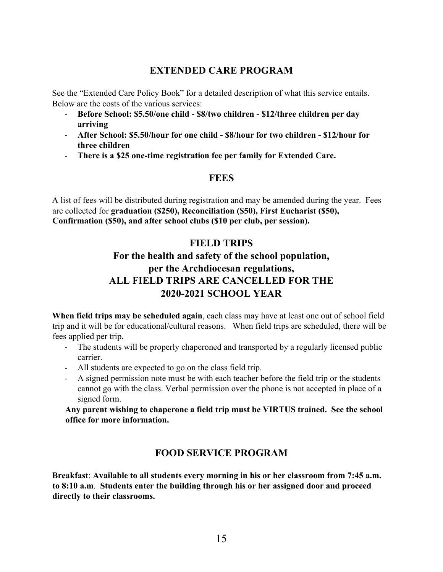# **EXTENDED CARE PROGRAM**

See the "Extended Care Policy Book" for a detailed description of what this service entails. Below are the costs of the various services:

- **Before School: \$5.50/one child - \$8/two children - \$12/three children per day arriving**
- **After School: \$5.50/hour for one child - \$8/hour for two children - \$12/hour for three children**
- **There is a \$25 one-time registration fee per family for Extended Care.**

# **FEES**

A list of fees will be distributed during registration and may be amended during the year. Fees are collected for **graduation (\$250), Reconciliation (\$50), First Eucharist (\$50), Confirmation (\$50), and after school clubs (\$10 per club, per session).** 

# **FIELD TRIPS**

# **For the health and safety of the school population, per the Archdiocesan regulations, ALL FIELD TRIPS ARE CANCELLED FOR THE 2020-2021 SCHOOL YEAR**

**When field trips may be scheduled again**, each class may have at least one out of school field trip and it will be for educational/cultural reasons. When field trips are scheduled, there will be fees applied per trip.

- The students will be properly chaperoned and transported by a regularly licensed public carrier.
- All students are expected to go on the class field trip.
- A signed permission note must be with each teacher before the field trip or the students cannot go with the class. Verbal permission over the phone is not accepted in place of a signed form.

**Any parent wishing to chaperone a field trip must be VIRTUS trained. See the school office for more information.** 

# **FOOD SERVICE PROGRAM**

**Breakfast**: **Available to all students every morning in his or her classroom from 7:45 a.m. to 8:10 a.m**. **Students enter the building through his or her assigned door and proceed directly to their classrooms.**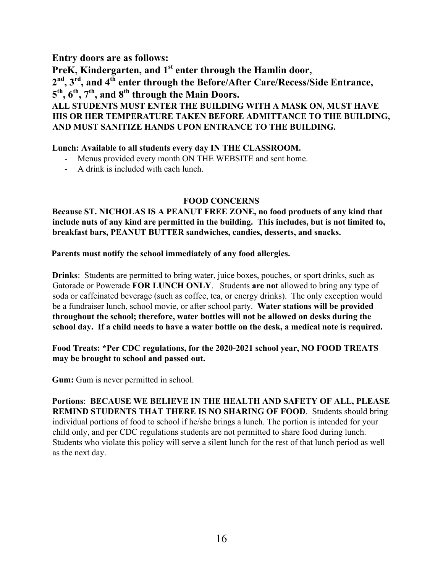**Entry doors are as follows:** 

**PreK, Kindergarten, and 1st enter through the Hamlin door, 2nd, 3rd, and 4th enter through the Before/After Care/Recess/Side Entrance, 5th, 6th, 7th, and 8th through the Main Doors. ALL STUDENTS MUST ENTER THE BUILDING WITH A MASK ON, MUST HAVE** 

# **HIS OR HER TEMPERATURE TAKEN BEFORE ADMITTANCE TO THE BUILDING, AND MUST SANITIZE HANDS UPON ENTRANCE TO THE BUILDING.**

### **Lunch: Available to all students every day IN THE CLASSROOM.**

- Menus provided every month ON THE WEBSITE and sent home.
- A drink is included with each lunch.

### **FOOD CONCERNS**

**Because ST. NICHOLAS IS A PEANUT FREE ZONE, no food products of any kind that include nuts of any kind are permitted in the building. This includes, but is not limited to, breakfast bars, PEANUT BUTTER sandwiches, candies, desserts, and snacks.**

**Parents must notify the school immediately of any food allergies.** 

**Drinks**: Students are permitted to bring water, juice boxes, pouches, or sport drinks, such as Gatorade or Powerade **FOR LUNCH ONLY**. Students **are not** allowed to bring any type of soda or caffeinated beverage (such as coffee, tea, or energy drinks). The only exception would be a fundraiser lunch, school movie, or after school party. **Water stations will be provided throughout the school; therefore, water bottles will not be allowed on desks during the school day. If a child needs to have a water bottle on the desk, a medical note is required.**

**Food Treats: \*Per CDC regulations, for the 2020-2021 school year, NO FOOD TREATS may be brought to school and passed out.** 

**Gum:** Gum is never permitted in school.

**Portions**: **BECAUSE WE BELIEVE IN THE HEALTH AND SAFETY OF ALL, PLEASE REMIND STUDENTS THAT THERE IS NO SHARING OF FOOD**. Students should bring individual portions of food to school if he/she brings a lunch. The portion is intended for your child only, and per CDC regulations students are not permitted to share food during lunch. Students who violate this policy will serve a silent lunch for the rest of that lunch period as well as the next day.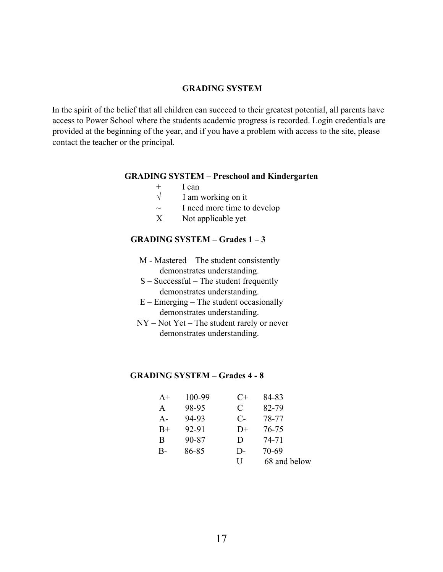#### **GRADING SYSTEM**

In the spirit of the belief that all children can succeed to their greatest potential, all parents have access to Power School where the students academic progress is recorded. Login credentials are provided at the beginning of the year, and if you have a problem with access to the site, please contact the teacher or the principal.

#### **GRADING SYSTEM – Preschool and Kindergarten**

- + I can<br> $\sqrt{\frac{1}{\text{am}}}$
- I am working on it
- $\sim$  I need more time to develop
- X Not applicable yet

#### **GRADING SYSTEM – Grades 1 – 3**

- M Mastered The student consistently demonstrates understanding.
- S Successful The student frequently demonstrates understanding.
- $E$  Emerging The student occasionally demonstrates understanding.
- NY Not Yet The student rarely or never demonstrates understanding.

#### **GRADING SYSTEM – Grades 4 - 8**

| $A+$  | 100-99 | $C+$         | 84-83        |
|-------|--------|--------------|--------------|
| A     | 98-95  | C            | 82-79        |
| $A -$ | 94-93  | $C-$         | 78-77        |
| $B+$  | 92-91  | $D+$         | 76-75        |
| B     | 90-87  | $\mathbf{D}$ | 74-71        |
| B-    | 86-85  | D-           | 70-69        |
|       |        | H            | 68 and below |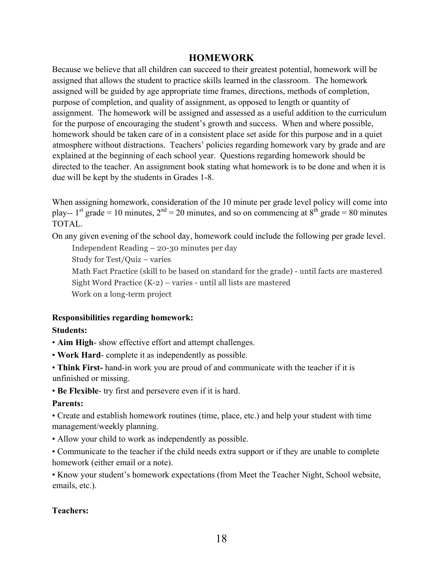### **HOMEWORK**

Because we believe that all children can succeed to their greatest potential, homework will be assigned that allows the student to practice skills learned in the classroom. The homework assigned will be guided by age appropriate time frames, directions, methods of completion, purpose of completion, and quality of assignment, as opposed to length or quantity of assignment. The homework will be assigned and assessed as a useful addition to the curriculum for the purpose of encouraging the student's growth and success. When and where possible, homework should be taken care of in a consistent place set aside for this purpose and in a quiet atmosphere without distractions. Teachers' policies regarding homework vary by grade and are explained at the beginning of each school year. Questions regarding homework should be directed to the teacher. An assignment book stating what homework is to be done and when it is due will be kept by the students in Grades 1-8.

When assigning homework, consideration of the 10 minute per grade level policy will come into play-- 1<sup>st</sup> grade = 10 minutes,  $2<sup>nd</sup>$  = 20 minutes, and so on commencing at  $8<sup>th</sup>$  grade = 80 minutes TOTAL.

On any given evening of the school day, homework could include the following per grade level.

Independent Reading – 20-30 minutes per day

Study for Test/Quiz – varies

 Math Fact Practice (skill to be based on standard for the grade) - until facts are mastered Sight Word Practice (K-2) – varies - until all lists are mastered Work on a long-term project

### **Responsibilities regarding homework:**

### **Students:**

- **Aim High** show effective effort and attempt challenges.
- **Work Hard** complete it as independently as possible.
- **Think First-** hand-in work you are proud of and communicate with the teacher if it is unfinished or missing.
- **Be Flexible** try first and persevere even if it is hard.

### **Parents:**

• Create and establish homework routines (time, place, etc.) and help your student with time management/weekly planning.

- Allow your child to work as independently as possible.
- Communicate to the teacher if the child needs extra support or if they are unable to complete homework (either email or a note).

• Know your student's homework expectations (from Meet the Teacher Night, School website, emails, etc.).

### **Teachers:**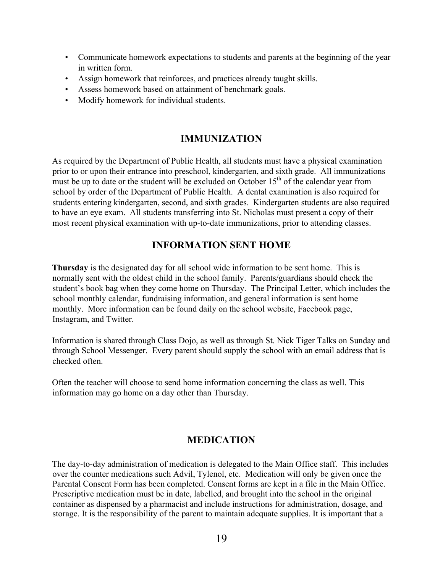- Communicate homework expectations to students and parents at the beginning of the year in written form.
- Assign homework that reinforces, and practices already taught skills.
- Assess homework based on attainment of benchmark goals.
- Modify homework for individual students.

# **IMMUNIZATION**

As required by the Department of Public Health, all students must have a physical examination prior to or upon their entrance into preschool, kindergarten, and sixth grade. All immunizations must be up to date or the student will be excluded on October  $15<sup>th</sup>$  of the calendar year from school by order of the Department of Public Health. A dental examination is also required for students entering kindergarten, second, and sixth grades. Kindergarten students are also required to have an eye exam. All students transferring into St. Nicholas must present a copy of their most recent physical examination with up-to-date immunizations, prior to attending classes.

# **INFORMATION SENT HOME**

**Thursday** is the designated day for all school wide information to be sent home. This is normally sent with the oldest child in the school family. Parents/guardians should check the student's book bag when they come home on Thursday. The Principal Letter, which includes the school monthly calendar, fundraising information, and general information is sent home monthly. More information can be found daily on the school website, Facebook page, Instagram, and Twitter.

Information is shared through Class Dojo, as well as through St. Nick Tiger Talks on Sunday and through School Messenger. Every parent should supply the school with an email address that is checked often.

Often the teacher will choose to send home information concerning the class as well. This information may go home on a day other than Thursday.

# **MEDICATION**

The day-to-day administration of medication is delegated to the Main Office staff. This includes over the counter medications such Advil, Tylenol, etc. Medication will only be given once the Parental Consent Form has been completed. Consent forms are kept in a file in the Main Office. Prescriptive medication must be in date, labelled, and brought into the school in the original container as dispensed by a pharmacist and include instructions for administration, dosage, and storage. It is the responsibility of the parent to maintain adequate supplies. It is important that a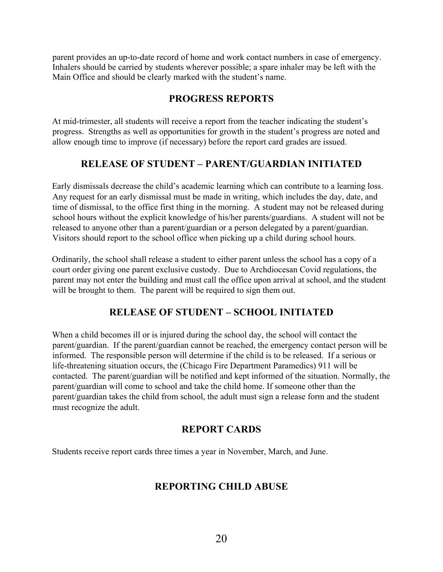parent provides an up-to-date record of home and work contact numbers in case of emergency. Inhalers should be carried by students wherever possible; a spare inhaler may be left with the Main Office and should be clearly marked with the student's name.

# **PROGRESS REPORTS**

At mid-trimester, all students will receive a report from the teacher indicating the student's progress. Strengths as well as opportunities for growth in the student's progress are noted and allow enough time to improve (if necessary) before the report card grades are issued.

# **RELEASE OF STUDENT – PARENT/GUARDIAN INITIATED**

Early dismissals decrease the child's academic learning which can contribute to a learning loss. Any request for an early dismissal must be made in writing, which includes the day, date, and time of dismissal, to the office first thing in the morning. A student may not be released during school hours without the explicit knowledge of his/her parents/guardians. A student will not be released to anyone other than a parent/guardian or a person delegated by a parent/guardian. Visitors should report to the school office when picking up a child during school hours.

Ordinarily, the school shall release a student to either parent unless the school has a copy of a court order giving one parent exclusive custody. Due to Archdiocesan Covid regulations, the parent may not enter the building and must call the office upon arrival at school, and the student will be brought to them. The parent will be required to sign them out.

# **RELEASE OF STUDENT – SCHOOL INITIATED**

When a child becomes ill or is injured during the school day, the school will contact the parent/guardian. If the parent/guardian cannot be reached, the emergency contact person will be informed. The responsible person will determine if the child is to be released. If a serious or life-threatening situation occurs, the (Chicago Fire Department Paramedics) 911 will be contacted. The parent/guardian will be notified and kept informed of the situation. Normally, the parent/guardian will come to school and take the child home. If someone other than the parent/guardian takes the child from school, the adult must sign a release form and the student must recognize the adult.

# **REPORT CARDS**

Students receive report cards three times a year in November, March, and June.

# **REPORTING CHILD ABUSE**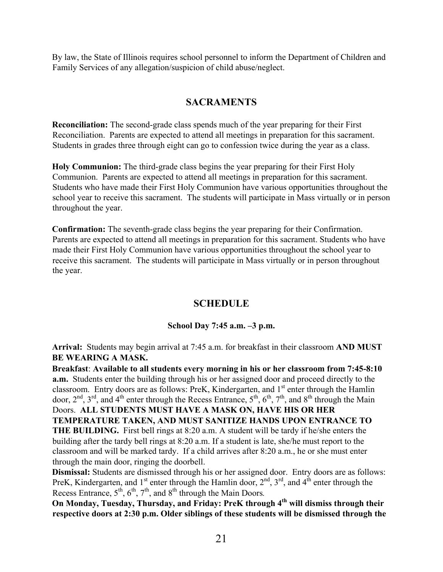By law, the State of Illinois requires school personnel to inform the Department of Children and Family Services of any allegation/suspicion of child abuse/neglect.

# **SACRAMENTS**

**Reconciliation:** The second-grade class spends much of the year preparing for their First Reconciliation.Parents are expected to attend all meetings in preparation for this sacrament. Students in grades three through eight can go to confession twice during the year as a class.

**Holy Communion:** The third-grade class begins the year preparing for their First Holy Communion.Parents are expected to attend all meetings in preparation for this sacrament. Students who have made their First Holy Communion have various opportunities throughout the school year to receive this sacrament. The students will participate in Mass virtually or in person throughout the year.

**Confirmation:** The seventh-grade class begins the year preparing for their Confirmation. Parents are expected to attend all meetings in preparation for this sacrament. Students who have made their First Holy Communion have various opportunities throughout the school year to receive this sacrament. The students will participate in Mass virtually or in person throughout the year.

# **SCHEDULE**

### **School Day 7:45 a.m. –3 p.m.**

**Arrival:**Students may begin arrival at 7:45 a.m. for breakfast in their classroom **AND MUST BE WEARING A MASK.**

**Breakfast**: **Available to all students every morning in his or her classroom from 7:45-8:10 a.m.** Students enter the building through his or her assigned door and proceed directly to the classroom. Entry doors are as follows: PreK, Kindergarten, and 1<sup>st</sup> enter through the Hamlin door,  $2<sup>nd</sup>$ ,  $3<sup>rd</sup>$ , and  $4<sup>th</sup>$  enter through the Recess Entrance,  $5<sup>th</sup>$ ,  $6<sup>th</sup>$ ,  $7<sup>th</sup>$ , and  $8<sup>th</sup>$  through the Main Doors. **ALL STUDENTS MUST HAVE A MASK ON, HAVE HIS OR HER TEMPERATURE TAKEN, AND MUST SANITIZE HANDS UPON ENTRANCE TO THE BUILDING.** First bell rings at 8:20 a.m. A student will be tardy if he/she enters the building after the tardy bell rings at 8:20 a.m. If a student is late, she/he must report to the classroom and will be marked tardy. If a child arrives after 8:20 a.m., he or she must enter through the main door, ringing the doorbell.

**Dismissal:** Students are dismissed through his or her assigned door. Entry doors are as follows: PreK, Kindergarten, and  $1<sup>st</sup>$  enter through the Hamlin door,  $2<sup>nd</sup>$ ,  $3<sup>rd</sup>$ , and  $4<sup>th</sup>$  enter through the Recess Entrance,  $5<sup>th</sup>$ ,  $6<sup>th</sup>$ ,  $7<sup>th</sup>$ , and  $8<sup>th</sup>$  through the Main Doors.

**On Monday, Tuesday, Thursday, and Friday: PreK through 4th will dismiss through their respective doors at 2:30 p.m. Older siblings of these students will be dismissed through the**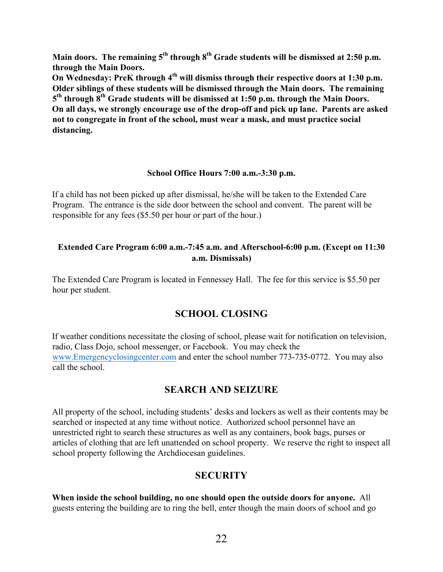**Main doors. The remaining 5th through 8th Grade students will be dismissed at 2:50 p.m. through the Main Doors.**

**On Wednesday: PreK through 4th will dismiss through their respective doors at 1:30 p.m. Older siblings of these students will be dismissed through the Main doors. The remaining 5th through 8th Grade students will be dismissed at 1:50 p.m. through the Main Doors. On all days, we strongly encourage use of the drop-off and pick up lane. Parents are asked not to congregate in front of the school, must wear a mask, and must practice social distancing.**

#### **School Office Hours 7:00 a.m.-3:30 p.m.**

If a child has not been picked up after dismissal, he/she will be taken to the Extended Care Program. The entrance is the side door between the school and convent. The parent will be responsible for any fees (\$5.50 per hour or part of the hour.)

### **Extended Care Program 6:00 a.m.-7:45 a.m. and Afterschool-6:00 p.m. (Except on 11:30 a.m. Dismissals)**

The Extended Care Program is located in Fennessey Hall. The fee for this service is \$5.50 per hour per student.

# **SCHOOL CLOSING**

If weather conditions necessitate the closing of school, please wait for notification on television, radio, Class Dojo, school messenger, or Facebook. You may check the www.Emergencyclosingcenter.com and enter the school number 773-735-0772. You may also call the school.

# **SEARCH AND SEIZURE**

All property of the school, including students' desks and lockers as well as their contents may be searched or inspected at any time without notice. Authorized school personnel have an unrestricted right to search these structures as well as any containers, book bags, purses or articles of clothing that are left unattended on school property. We reserve the right to inspect all school property following the Archdiocesan guidelines.

# **SECURITY**

**When inside the school building, no one should open the outside doors for anyone.** All guests entering the building are to ring the bell, enter though the main doors of school and go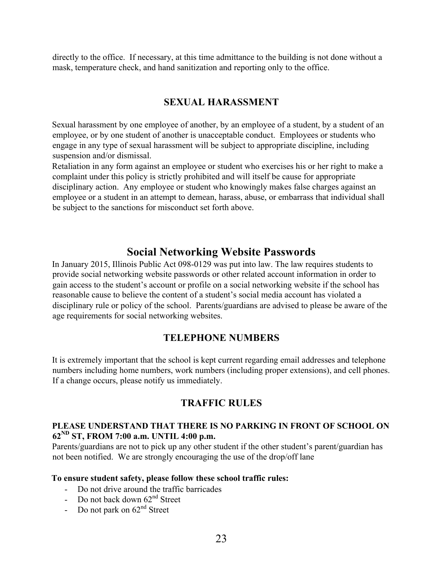directly to the office. If necessary, at this time admittance to the building is not done without a mask, temperature check, and hand sanitization and reporting only to the office.

# **SEXUAL HARASSMENT**

Sexual harassment by one employee of another, by an employee of a student, by a student of an employee, or by one student of another is unacceptable conduct. Employees or students who engage in any type of sexual harassment will be subject to appropriate discipline, including suspension and/or dismissal.

Retaliation in any form against an employee or student who exercises his or her right to make a complaint under this policy is strictly prohibited and will itself be cause for appropriate disciplinary action. Any employee or student who knowingly makes false charges against an employee or a student in an attempt to demean, harass, abuse, or embarrass that individual shall be subject to the sanctions for misconduct set forth above.

# **Social Networking Website Passwords**

In January 2015, Illinois Public Act 098-0129 was put into law. The law requires students to provide social networking website passwords or other related account information in order to gain access to the student's account or profile on a social networking website if the school has reasonable cause to believe the content of a student's social media account has violated a disciplinary rule or policy of the school. Parents/guardians are advised to please be aware of the age requirements for social networking websites.

# **TELEPHONE NUMBERS**

It is extremely important that the school is kept current regarding email addresses and telephone numbers including home numbers, work numbers (including proper extensions), and cell phones. If a change occurs, please notify us immediately.

# **TRAFFIC RULES**

### **PLEASE UNDERSTAND THAT THERE IS NO PARKING IN FRONT OF SCHOOL ON 62ND ST, FROM 7:00 a.m. UNTIL 4:00 p.m.**

Parents/guardians are not to pick up any other student if the other student's parent/guardian has not been notified. We are strongly encouraging the use of the drop/off lane

### **To ensure student safety, please follow these school traffic rules:**

- Do not drive around the traffic barricades
- Do not back down  $62<sup>nd</sup>$  Street
- Do not park on  $62<sup>nd</sup>$  Street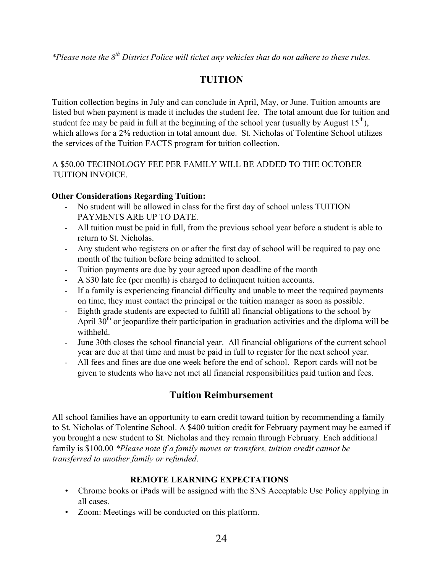*\*Please note the 8th District Police will ticket any vehicles that do not adhere to these rules.* 

# **TUITION**

Tuition collection begins in July and can conclude in April, May, or June. Tuition amounts are listed but when payment is made it includes the student fee. The total amount due for tuition and student fee may be paid in full at the beginning of the school year (usually by August  $15<sup>th</sup>$ ), which allows for a 2% reduction in total amount due. St. Nicholas of Tolentine School utilizes the services of the Tuition FACTS program for tuition collection.

### A \$50.00 TECHNOLOGY FEE PER FAMILY WILL BE ADDED TO THE OCTOBER TUITION INVOICE.

### **Other Considerations Regarding Tuition:**

- No student will be allowed in class for the first day of school unless TUITION PAYMENTS ARE UP TO DATE.
- All tuition must be paid in full, from the previous school year before a student is able to return to St. Nicholas.
- Any student who registers on or after the first day of school will be required to pay one month of the tuition before being admitted to school.
- Tuition payments are due by your agreed upon deadline of the month
- A \$30 late fee (per month) is charged to delinquent tuition accounts.
- If a family is experiencing financial difficulty and unable to meet the required payments on time, they must contact the principal or the tuition manager as soon as possible.
- Eighth grade students are expected to fulfill all financial obligations to the school by April  $30<sup>th</sup>$  or jeopardize their participation in graduation activities and the diploma will be withheld.
- June 30th closes the school financial year. All financial obligations of the current school year are due at that time and must be paid in full to register for the next school year.
- All fees and fines are due one week before the end of school. Report cards will not be given to students who have not met all financial responsibilities paid tuition and fees.

# **Tuition Reimbursement**

All school families have an opportunity to earn credit toward tuition by recommending a family to St. Nicholas of Tolentine School. A \$400 tuition credit for February payment may be earned if you brought a new student to St. Nicholas and they remain through February. Each additional family is \$100.00 *\*Please note if a family moves or transfers, tuition credit cannot be transferred to another family or refunded*.

### **REMOTE LEARNING EXPECTATIONS**

- Chrome books or iPads will be assigned with the SNS Acceptable Use Policy applying in all cases.
- Zoom: Meetings will be conducted on this platform.